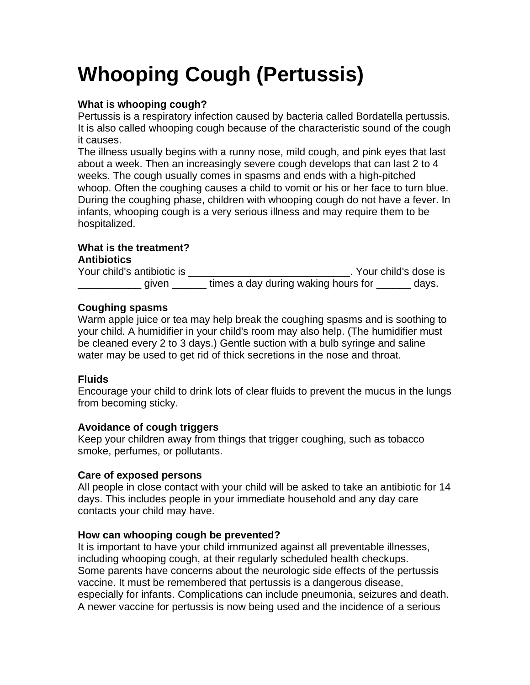# **Whooping Cough (Pertussis)**

## **What is whooping cough?**

Pertussis is a respiratory infection caused by bacteria called Bordatella pertussis. It is also called whooping cough because of the characteristic sound of the cough it causes.

The illness usually begins with a runny nose, mild cough, and pink eyes that last about a week. Then an increasingly severe cough develops that can last 2 to 4 weeks. The cough usually comes in spasms and ends with a high-pitched whoop. Often the coughing causes a child to vomit or his or her face to turn blue. During the coughing phase, children with whooping cough do not have a fever. In infants, whooping cough is a very serious illness and may require them to be hospitalized.

# **What is the treatment?**

#### **Antibiotics**

Your child's antibiotic is \_\_\_\_\_\_\_\_\_\_\_\_\_\_\_\_\_\_\_\_\_\_\_\_\_\_\_\_\_\_\_\_\_. Your child's dose is given \_\_\_\_\_\_\_\_\_\_ times a day during waking hours for \_\_\_\_\_\_\_ days.

### **Coughing spasms**

Warm apple juice or tea may help break the coughing spasms and is soothing to your child. A humidifier in your child's room may also help. (The humidifier must be cleaned every 2 to 3 days.) Gentle suction with a bulb syringe and saline water may be used to get rid of thick secretions in the nose and throat.

### **Fluids**

Encourage your child to drink lots of clear fluids to prevent the mucus in the lungs from becoming sticky.

### **Avoidance of cough triggers**

Keep your children away from things that trigger coughing, such as tobacco smoke, perfumes, or pollutants.

### **Care of exposed persons**

All people in close contact with your child will be asked to take an antibiotic for 14 days. This includes people in your immediate household and any day care contacts your child may have.

### **How can whooping cough be prevented?**

It is important to have your child immunized against all preventable illnesses, including whooping cough, at their regularly scheduled health checkups. Some parents have concerns about the neurologic side effects of the pertussis vaccine. It must be remembered that pertussis is a dangerous disease, especially for infants. Complications can include pneumonia, seizures and death. A newer vaccine for pertussis is now being used and the incidence of a serious